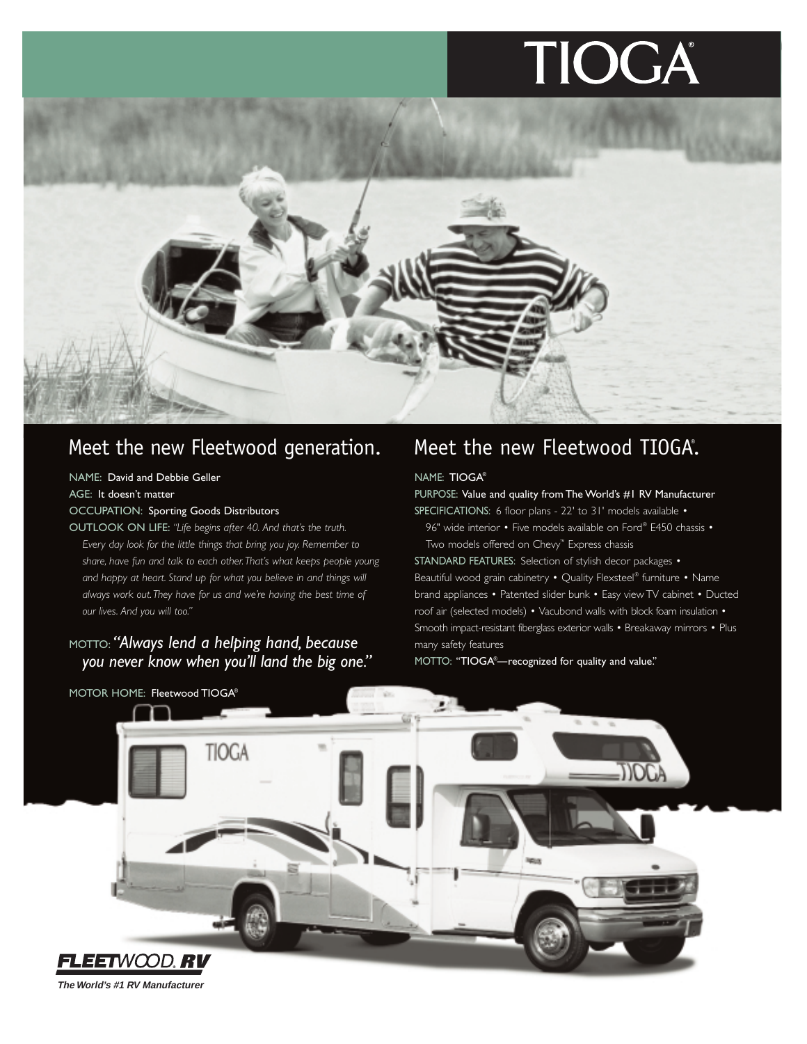# TIOGA



## Meet the new Fleetwood generation.

### NAME: David and Debbie Geller

AGE: It doesn't matter

### OCCUPATION: Sporting Goods Distributors

OUTLOOK ON LIFE: *"Life begins after 40. And that's the truth. Every day look for the little things that bring you joy. Remember to share, have fun and talk to each other.That's what keeps people young and happy at heart. Stand up for what you believe in and things will always work out.They have for us and we're having the best time of our lives. And you will too."*

### MOTTO: *"Always lend a helping hand, because you never know when you'll land the big one."*

## Meet the new Fleetwood TIOGA.

### NAME: TIOGA®

PURPOSE: Value and quality from The World's #1 RV Manufacturer

SPECIFICATIONS: 6 floor plans - 22' to 31' models available •

96" wide interior • Five models available on Ford® E450 chassis • Two models offered on Chevy™ Express chassis

STANDARD FEATURES: Selection of stylish decor packages • Beautiful wood grain cabinetry • Quality Flexsteel® furniture • Name brand appliances • Patented slider bunk • Easy view TV cabinet • Ducted roof air (selected models) • Vacubond walls with block foam insulation • Smooth impact-resistant fiberglass exterior walls • Breakaway mirrors • Plus many safety features

MOTTO: "TIOGA® —recognized for quality and value."



**The World's #1 RV Manufacturer**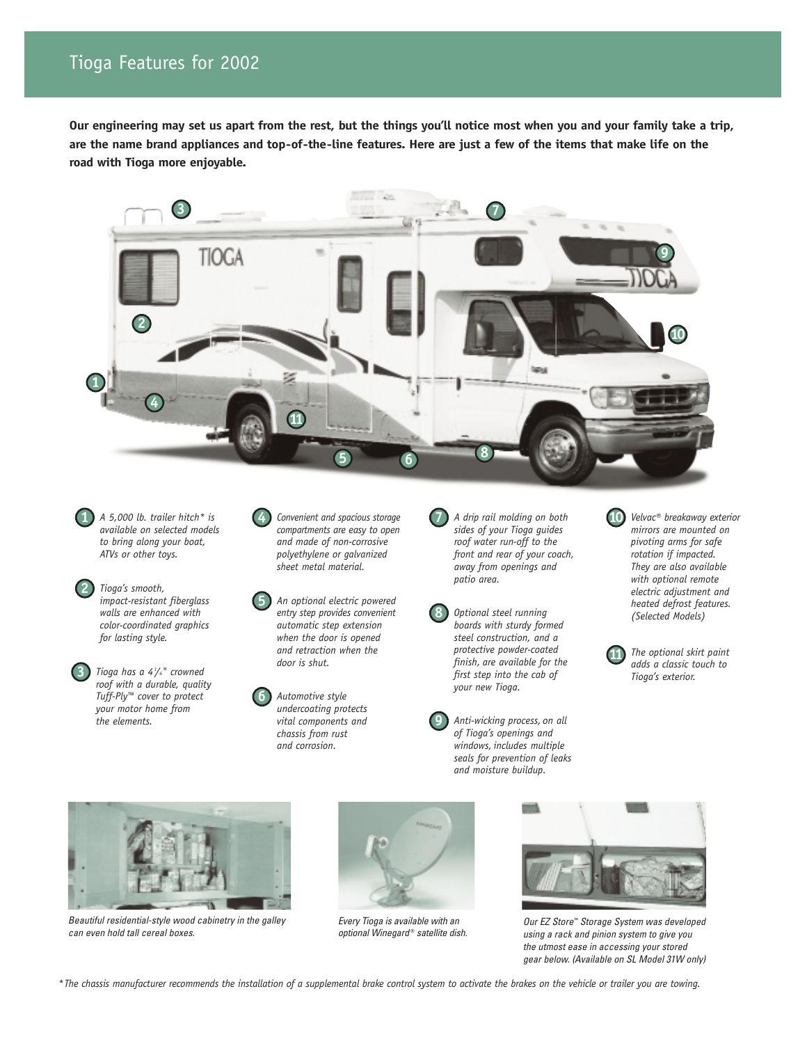### Tioga Features for 2002

**Our engineering may set us apart from the rest, but the things you'll notice most when you and your family take a trip, are the name brand appliances and top-of-the-line features. Here are just a few of the items that make life on the road with Tioga more enjoyable.**



**7**

**8**

**9**

*A 5,000 lb. trailer hitch\* is available on selected models to bring along your boat, ATVs or other toys.*

**1**

**2**

**3**

*Tioga's smooth, impact-resistant fiberglass walls are enhanced with color-coordinated graphics for lasting style.*

*Tioga has a 41 /4" crowned roof with a durable, quality Tuff-Ply™ cover to protect your motor home from the elements.*

*Convenient and spacious storage compartments are easy to open and made of non-corrosive polyethylene or galvanized sheet metal material.*

**4**

**5**

**6**

*An optional electric powered entry step provides convenient automatic step extension when the door is opened and retraction when the door is shut.*

*Automotive style undercoating protects vital components and chassis from rust and corrosion.*

*A drip rail molding on both sides of your Tioga guides roof water run-off to the front and rear of your coach, away from openings and patio area.*

*Optional steel running boards with sturdy formed steel construction, and a protective powder-coated finish, are available for the first step into the cab of your new Tioga.*

*Anti-wicking process, on all of Tioga's openings and windows, includes multiple seals for prevention of leaks and moisture buildup.*

*Velvac® breakaway exterior mirrors are mounted on pivoting arms for safe rotation if impacted. They are also available with optional remote electric adjustment and heated defrost features. (Selected Models)* **10**

*The optional skirt paint adds a classic touch to Tioga's exterior.* **11**



*Beautiful residential-style wood cabinetry in the galley can even hold tall cereal boxes.*



*Every Tioga is available with an optional Winegard* ® *satellite dish.*



*Our EZ Store™ Storage System was developed using a rack and pinion system to give you the utmost ease in accessing your stored gear below. (Available on SL Model 31W only)*

*\*The chassis manufacturer recommends the installation of a supplemental brake control system to activate the brakes on the vehicle or trailer you are towing.*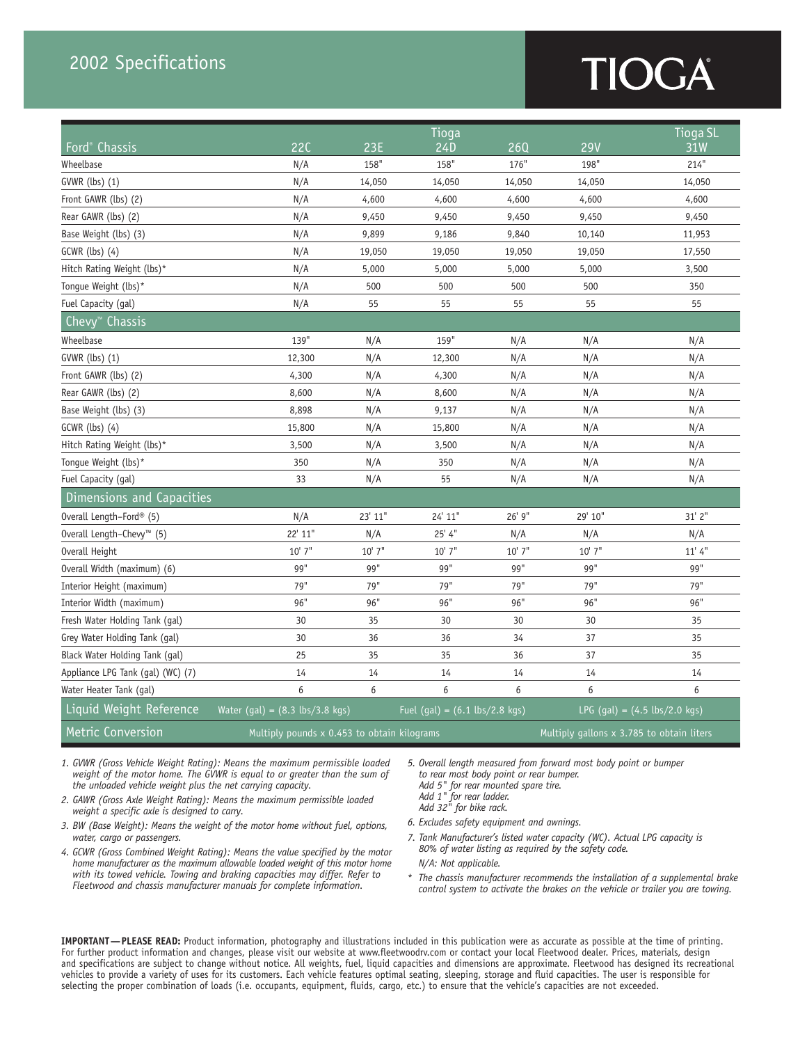### 2002 Specifications

# TIOGA

|                                       |                                                  |                                             | <b>Tioga</b>                                    |          |                                                 | Tioga SL                                  |  |  |  |
|---------------------------------------|--------------------------------------------------|---------------------------------------------|-------------------------------------------------|----------|-------------------------------------------------|-------------------------------------------|--|--|--|
| Ford <sup>®</sup> Chassis             | 22C                                              | <b>23E</b>                                  | 24D                                             | 260      | <b>29V</b>                                      | 31W                                       |  |  |  |
| Wheelbase                             | N/A                                              | 158"                                        | 158"                                            | 176"     | 198"                                            | 214"                                      |  |  |  |
| GVWR (lbs) (1)                        | N/A                                              | 14,050                                      | 14,050                                          | 14,050   | 14,050                                          | 14,050                                    |  |  |  |
| Front GAWR (lbs) (2)                  | N/A                                              | 4,600                                       | 4,600                                           | 4,600    | 4,600                                           | 4,600                                     |  |  |  |
| Rear GAWR (lbs) (2)                   | N/A                                              | 9,450                                       | 9,450                                           | 9,450    | 9,450                                           | 9,450                                     |  |  |  |
| Base Weight (lbs) (3)                 | N/A                                              | 9,899                                       | 9,186                                           | 9,840    | 10,140                                          | 11,953                                    |  |  |  |
| $GCWR$ (lbs) $(4)$                    | N/A                                              | 19,050                                      | 19,050                                          | 19,050   | 19,050                                          | 17,550                                    |  |  |  |
| Hitch Rating Weight (lbs)*            | N/A                                              | 5,000                                       | 5,000                                           | 5,000    | 5,000                                           | 3,500                                     |  |  |  |
| Tongue Weight (lbs)*                  | N/A                                              | 500                                         | 500                                             | 500      | 500                                             | 350                                       |  |  |  |
| Fuel Capacity (gal)                   | N/A                                              | 55                                          | 55                                              | 55       | 55                                              | 55                                        |  |  |  |
| Chevy <sup>™</sup> Chassis            |                                                  |                                             |                                                 |          |                                                 |                                           |  |  |  |
| Wheelbase                             | 139"                                             | N/A                                         | 159"                                            | N/A      | N/A                                             | N/A                                       |  |  |  |
| GVWR (lbs) (1)                        | 12,300                                           | N/A                                         | 12,300                                          | N/A      | N/A                                             | N/A                                       |  |  |  |
| Front GAWR (lbs) (2)                  | 4,300                                            | N/A                                         | 4,300                                           | N/A      | N/A                                             | N/A                                       |  |  |  |
| Rear GAWR (lbs) (2)                   | 8,600                                            | N/A                                         | 8,600                                           | N/A      | N/A                                             | N/A                                       |  |  |  |
| Base Weight (lbs) (3)                 | 8,898                                            | N/A                                         | 9,137                                           | N/A      | N/A                                             | N/A                                       |  |  |  |
| $GCWR$ (lbs) $(4)$                    | 15,800                                           | N/A                                         | 15,800                                          | N/A      | N/A                                             | N/A                                       |  |  |  |
| Hitch Rating Weight (lbs)*            | 3,500                                            | N/A                                         | 3,500                                           | N/A      | N/A                                             | N/A                                       |  |  |  |
| Tongue Weight (lbs)*                  | 350                                              | N/A                                         | 350                                             | N/A      | N/A                                             | N/A                                       |  |  |  |
| Fuel Capacity (gal)                   | 33                                               | N/A                                         | 55                                              | N/A      | N/A                                             | N/A                                       |  |  |  |
| Dimensions and Capacities             |                                                  |                                             |                                                 |          |                                                 |                                           |  |  |  |
| Overall Length-Ford® (5)              | N/A                                              | 23' 11"                                     | 24' 11"                                         | 26' 9"   | 29' 10"                                         | 31' 2"                                    |  |  |  |
| Overall Length-Chevy <sup>™</sup> (5) | 22' 11"                                          | N/A                                         | 25' 4''                                         | N/A      | N/A                                             | N/A                                       |  |  |  |
| Overall Height                        | $10'$ 7"                                         | $10'$ 7"                                    | 10' 7"                                          | $10'$ 7" | $10'$ 7"                                        | 11'4''                                    |  |  |  |
| Overall Width (maximum) (6)           | 99"                                              | 99"                                         | 99"                                             | 99"      | 99"                                             | 99"                                       |  |  |  |
| Interior Height (maximum)             | 79"                                              | 79"                                         | 79"                                             | 79"      | 79"                                             | 79"                                       |  |  |  |
| Interior Width (maximum)              | 96"                                              | 96"                                         | 96"                                             | 96"      | 96"                                             | 96"                                       |  |  |  |
| Fresh Water Holding Tank (gal)        | 30                                               | 35                                          | 30                                              | 30       | 30                                              | 35                                        |  |  |  |
| Grey Water Holding Tank (gal)         | 30                                               | 36                                          | 36                                              | 34       | 37                                              | 35                                        |  |  |  |
| Black Water Holding Tank (gal)        | 25                                               | 35                                          | 35                                              | 36       | 37                                              | 35                                        |  |  |  |
| Appliance LPG Tank (gal) (WC) (7)     | 14                                               | 14                                          | 14                                              | 14       | 14                                              | 14                                        |  |  |  |
| Water Heater Tank (gal)               | 6                                                | 6                                           | 6                                               | 6        | 6                                               | 6                                         |  |  |  |
| Liquid Weight Reference               | Water (gal) = $(8.3 \text{ lbs}/3.8 \text{ kg})$ |                                             | Fuel (gal) = $(6.1 \text{ lbs}/2.8 \text{ kg})$ |          | LPG $(gal) = (4.5 \text{ lbs}/2.0 \text{ kgs})$ |                                           |  |  |  |
| Metric Conversion                     |                                                  | Multiply pounds x 0.453 to obtain kilograms |                                                 |          |                                                 | Multiply gallons x 3.785 to obtain liters |  |  |  |

*1. GVWR (Gross Vehicle Weight Rating): Means the maximum permissible loaded weight of the motor home. The GVWR is equal to or greater than the sum of the unloaded vehicle weight plus the net carrying capacity.*

*2. GAWR (Gross Axle Weight Rating): Means the maximum permissible loaded weight a specific axle is designed to carry.*

- *3. BW (Base Weight): Means the weight of the motor home without fuel, options, water, cargo or passengers.*
- *4. GCWR (Gross Combined Weight Rating): Means the value specified by the motor home manufacturer as the maximum allowable loaded weight of this motor home with its towed vehicle. Towing and braking capacities may differ. Refer to Fleetwood and chassis manufacturer manuals for complete information.*

*5. Overall length measured from forward most body point or bumper to rear most body point or rear bumper. Add 5" for rear mounted spare tire.* 

*Add 1" for rear ladder.* 

- *Add 32" for bike rack.*
- *6. Excludes safety equipment and awnings.*
- *7. Tank Manufacturer's listed water capacity (WC). Actual LPG capacity is 80% of water listing as required by the safety code. N/A: Not applicable.*
- \* *The chassis manufacturer recommends the installation of a supplemental brake control system to activate the brakes on the vehicle or trailer you are towing.*

**IMPORTANT—PLEASE READ:** Product information, photography and illustrations included in this publication were as accurate as possible at the time of printing. For further product information and changes, please visit our website at www.fleetwoodrv.com or contact your local Fleetwood dealer. Prices, materials, design and specifications are subject to change without notice. All weights, fuel, liquid capacities and dimensions are approximate. Fleetwood has designed its recreational vehicles to provide a variety of uses for its customers. Each vehicle features optimal seating, sleeping, storage and fluid capacities. The user is responsible for selecting the proper combination of loads (i.e. occupants, equipment, fluids, cargo, etc.) to ensure that the vehicle's capacities are not exceeded.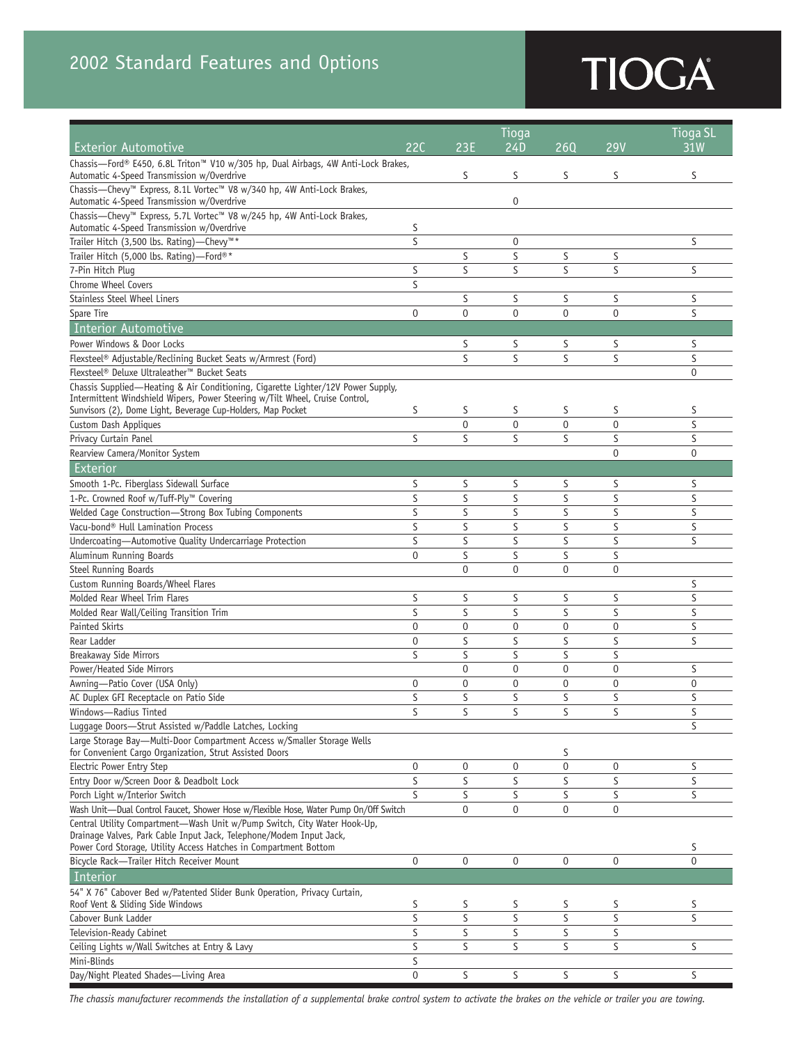# **TIOGA**

|                                                                                                                                                                                                                     |             |                  | <b>Tioga SL</b> |             |                |                 |
|---------------------------------------------------------------------------------------------------------------------------------------------------------------------------------------------------------------------|-------------|------------------|-----------------|-------------|----------------|-----------------|
| <b>Exterior Automotive</b>                                                                                                                                                                                          | 22C         | 23E              | Tioqa<br>24D    | 260         | <b>29V</b>     | 31 <sub>W</sub> |
| Chassis-Ford® E450, 6.8L Triton™ V10 w/305 hp, Dual Airbags, 4W Anti-Lock Brakes,<br>Automatic 4-Speed Transmission w/Overdrive                                                                                     |             | S                | S               | S           | S              | S               |
| Chassis-Chevy™ Express, 8.1L Vortec™ V8 w/340 hp, 4W Anti-Lock Brakes,                                                                                                                                              |             |                  |                 |             |                |                 |
| Automatic 4-Speed Transmission w/Overdrive                                                                                                                                                                          |             |                  | 0               |             |                |                 |
| Chassis-Chevy™ Express, 5.7L Vortec™ V8 w/245 hp, 4W Anti-Lock Brakes,<br>Automatic 4-Speed Transmission w/Overdrive                                                                                                | S           |                  |                 |             |                |                 |
| Trailer Hitch (3,500 lbs. Rating)—Chevy™*                                                                                                                                                                           | S           |                  | 0               |             |                | S               |
| Trailer Hitch (5,000 lbs. Rating)-Ford®*                                                                                                                                                                            |             | S                | S               | S           | S              |                 |
| 7-Pin Hitch Plug                                                                                                                                                                                                    | S           | S                | S               | S           | S              | S               |
| <b>Chrome Wheel Covers</b>                                                                                                                                                                                          | S           |                  |                 |             |                |                 |
| <b>Stainless Steel Wheel Liners</b>                                                                                                                                                                                 |             | S                | S               | S           | S              | S               |
| Spare Tire                                                                                                                                                                                                          | $\mathbf 0$ | $\mathbf{0}$     | $\mathbf 0$     | $\mathbf 0$ | $\mathbf 0$    | S               |
| Interior Automotive                                                                                                                                                                                                 |             |                  |                 |             |                |                 |
| Power Windows & Door Locks                                                                                                                                                                                          |             | S                | S               | S           | S              | S               |
| Flexsteel® Adjustable/Reclining Bucket Seats w/Armrest (Ford)                                                                                                                                                       |             | S                | S               | S           | S              | S               |
| Flexsteel® Deluxe Ultraleather™ Bucket Seats                                                                                                                                                                        |             |                  |                 |             |                | $\mathbf{0}$    |
| Chassis Supplied-Heating & Air Conditioning, Cigarette Lighter/12V Power Supply,<br>Intermittent Windshield Wipers, Power Steering w/Tilt Wheel, Cruise Control,                                                    |             |                  |                 |             |                |                 |
| Sunvisors (2), Dome Light, Beverage Cup-Holders, Map Pocket                                                                                                                                                         | S           | S                | S               | S           | S              | S               |
| Custom Dash Appliques                                                                                                                                                                                               |             | $\mathbf 0$      | $\mathbf 0$     | $\Omega$    | $\mathbf 0$    | S               |
| Privacy Curtain Panel                                                                                                                                                                                               | S           | S                | S               | S           | S              | S               |
| Rearview Camera/Monitor System                                                                                                                                                                                      |             |                  |                 |             | $\theta$       | $\mathbf{0}$    |
| Exterior                                                                                                                                                                                                            |             |                  |                 |             |                |                 |
| Smooth 1-Pc. Fiberglass Sidewall Surface                                                                                                                                                                            | S           | S                | S               | S           | S              | S               |
| 1-Pc. Crowned Roof w/Tuff-Ply™ Covering                                                                                                                                                                             | S           | S                | S               | S           | S              | S               |
| Welded Cage Construction-Strong Box Tubing Components                                                                                                                                                               | S           | S                | S               | S           | S              | S               |
| Vacu-bond® Hull Lamination Process                                                                                                                                                                                  | S           | S                | S               | S           | S              | S               |
| Undercoating-Automotive Quality Undercarriage Protection                                                                                                                                                            | S           | S                | S               | S           | S              | S               |
| Aluminum Running Boards                                                                                                                                                                                             | $\mathbf 0$ | S                | S               | S           | S              |                 |
| Steel Running Boards                                                                                                                                                                                                |             | $\mathbf{0}$     | $\mathbf 0$     | $\Omega$    | $\Omega$       |                 |
| Custom Running Boards/Wheel Flares                                                                                                                                                                                  |             |                  |                 |             |                | S               |
| Molded Rear Wheel Trim Flares                                                                                                                                                                                       | S           | S                | S               | S           | S              | S               |
| Molded Rear Wall/Ceiling Transition Trim                                                                                                                                                                            | S           | S                | S               | S           | S              | S               |
| Painted Skirts                                                                                                                                                                                                      | $\mathbf 0$ | $\mathbf 0$      | $\mathbf 0$     | $\mathbf 0$ | $\mathbf 0$    | S               |
| Rear Ladder                                                                                                                                                                                                         | $\mathbf 0$ | S                | S               | S           | S              | S               |
| <b>Breakaway Side Mirrors</b>                                                                                                                                                                                       | S           | S                | S               | S           | S              |                 |
| Power/Heated Side Mirrors                                                                                                                                                                                           |             | $\mathbf{0}$     | $\mathbf 0$     | $\mathbf 0$ | $\mathbf 0$    | S               |
| Awning-Patio Cover (USA Only)                                                                                                                                                                                       | $\mathbf 0$ | $\mathbf 0$      | $\mathbf 0$     | 0           | $\overline{0}$ | $\mathbf{0}$    |
| AC Duplex GFI Receptacle on Patio Side                                                                                                                                                                              | S           | S                | S               | S           | S              | S               |
| Windows-Radius Tinted                                                                                                                                                                                               | S           | S                | S               | S           | S              | S               |
| Luggage Doors-Strut Assisted w/Paddle Latches, Locking                                                                                                                                                              |             |                  |                 |             |                | S               |
| Large Storage Bay-Multi-Door Compartment Access w/Smaller Storage Wells                                                                                                                                             |             |                  |                 |             |                |                 |
| for Convenient Cargo Organization, Strut Assisted Doors                                                                                                                                                             |             |                  |                 | S           |                |                 |
| Electric Power Entry Step                                                                                                                                                                                           | $\bf{0}$    | $\boldsymbol{0}$ | 0               | 0           | 0              | S               |
| Entry Door w/Screen Door & Deadbolt Lock                                                                                                                                                                            | S           | S                | S               | S           | S              | S               |
| Porch Light w/Interior Switch                                                                                                                                                                                       | S           | S                | S               | S           | S              | S               |
| Wash Unit-Dual Control Faucet, Shower Hose w/Flexible Hose, Water Pump On/Off Switch                                                                                                                                |             | $\mathbf{0}$     | $\mathbf 0$     | 0           | $\mathbf 0$    |                 |
| Central Utility Compartment-Wash Unit w/Pump Switch, City Water Hook-Up,<br>Drainage Valves, Park Cable Input Jack, Telephone/Modem Input Jack,<br>Power Cord Storage, Utility Access Hatches in Compartment Bottom |             |                  |                 |             |                | S               |
| Bicycle Rack-Trailer Hitch Receiver Mount                                                                                                                                                                           | 0           | $\mathbf 0$      | 0               | $\mathbf 0$ | 0              | $\mathbf{0}$    |
| Interior                                                                                                                                                                                                            |             |                  |                 |             |                |                 |
| 54" X 76" Cabover Bed w/Patented Slider Bunk Operation, Privacy Curtain,                                                                                                                                            |             |                  |                 |             |                |                 |
| Roof Vent & Sliding Side Windows                                                                                                                                                                                    | S           | S                | S               | S           | S              | S               |
| Cabover Bunk Ladder                                                                                                                                                                                                 | S           | S                | S               | S           | S              | S               |
| Television-Ready Cabinet                                                                                                                                                                                            | S           | S                | S               | S           | S              |                 |
| Ceiling Lights w/Wall Switches at Entry & Lavy                                                                                                                                                                      | S           | S                | S               | S           | S              | S               |
| Mini-Blinds                                                                                                                                                                                                         | S           |                  |                 |             |                |                 |
| Day/Night Pleated Shades-Living Area                                                                                                                                                                                | $\pmb{0}$   | S                | S               | S           | S              | S               |

*The chassis manufacturer recommends the installation of a supplemental brake control system to activate the brakes on the vehicle or trailer you are towing.*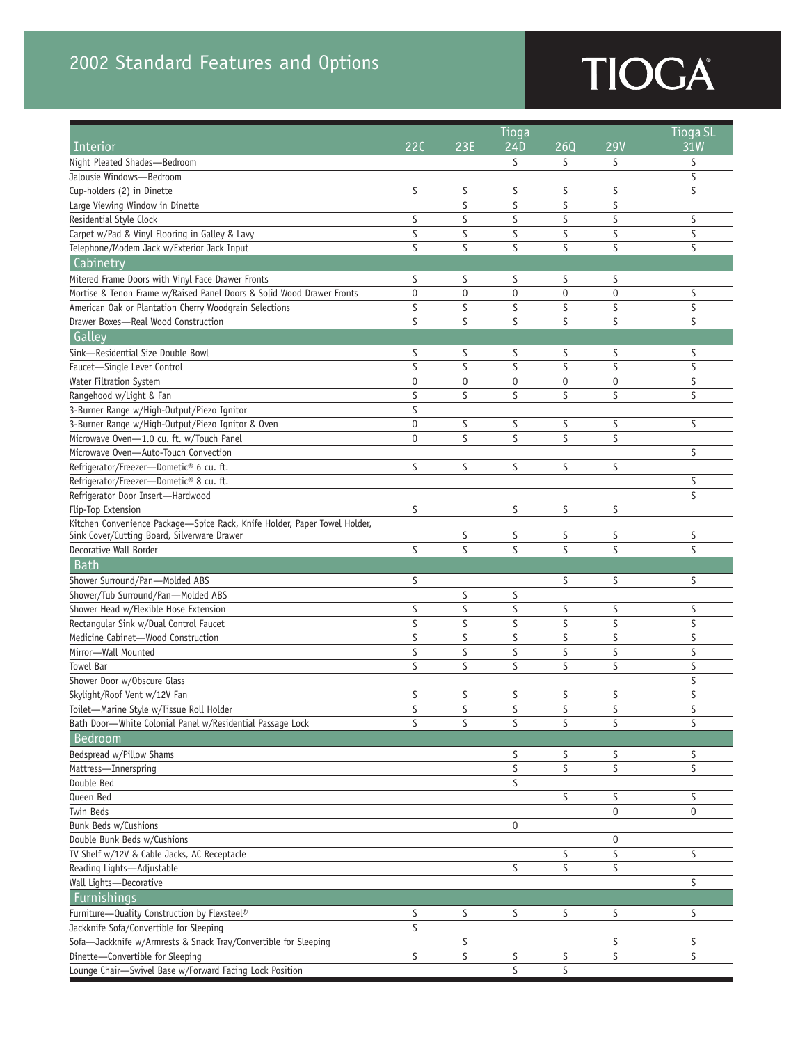## 2002 Standard Features and Options

# TIOGA

|                                                                           | Tioga                   |              |             |             |                  | <b>Tioga SL</b> |
|---------------------------------------------------------------------------|-------------------------|--------------|-------------|-------------|------------------|-----------------|
| <b>Interior</b>                                                           | 22C                     | 23E          | 24D         | 260         | <b>29V</b>       | 31W             |
| Night Pleated Shades-Bedroom                                              |                         |              | S           | S           | S                | S               |
| Jalousie Windows-Bedroom                                                  |                         |              |             |             |                  | S               |
| Cup-holders (2) in Dinette                                                | S                       | S            | S           | S           | S                | S               |
| Large Viewing Window in Dinette                                           |                         | S            | S           | S           | S                |                 |
| Residential Style Clock                                                   | S                       | S            | S           | S           | S                | S               |
| Carpet w/Pad & Vinyl Flooring in Galley & Lavy                            | S                       | S            | S           | S           | S                | S               |
| Telephone/Modem Jack w/Exterior Jack Input                                | S                       | S            | S           | S           | S                | S               |
| Cabinetry                                                                 |                         |              |             |             |                  |                 |
| Mitered Frame Doors with Vinyl Face Drawer Fronts                         | S                       | S            | S           | S           | S                |                 |
| Mortise & Tenon Frame w/Raised Panel Doors & Solid Wood Drawer Fronts     | $\mathbf 0$             | $\mathbf{0}$ | $\mathbf 0$ | $\mathbf 0$ | $\overline{0}$   | S               |
| American Oak or Plantation Cherry Woodgrain Selections                    | S                       | S            | S           | S           | S                | S               |
| Drawer Boxes-Real Wood Construction                                       | S                       | S            | S           | S           | S                | S               |
| Galley                                                                    |                         |              |             |             |                  |                 |
| Sink-Residential Size Double Bowl                                         | S                       | S            | S           | S           | S                | S               |
| Faucet-Single Lever Control                                               | S                       | S            | S           | S           | S                | S               |
| Water Filtration System                                                   | $\mathbf 0$             | $\mathbf 0$  | $\mathbf 0$ | $\mathbf 0$ | $\overline{0}$   | S               |
| Rangehood w/Light & Fan                                                   | S                       | S            | S           | S           | S                | S               |
| 3-Burner Range w/High-Output/Piezo Ignitor                                | S                       |              |             |             |                  |                 |
| 3-Burner Range w/High-Output/Piezo Ignitor & Oven                         | $\mathbf 0$             | S            | S           | S           | S                | S               |
| Microwave Oven-1.0 cu. ft. w/Touch Panel                                  | $\mathbf 0$             | S            | S           | S           | S                |                 |
| Microwave Oven-Auto-Touch Convection                                      |                         |              |             |             |                  | S               |
| Refrigerator/Freezer-Dometic® 6 cu. ft.                                   | S                       | S            | S           | S           | S                |                 |
| Refrigerator/Freezer-Dometic® 8 cu. ft.                                   |                         |              |             |             |                  | S               |
| Refrigerator Door Insert-Hardwood                                         |                         |              |             |             |                  | S               |
| Flip-Top Extension                                                        | S                       |              | S           | S           | S                |                 |
| Kitchen Convenience Package-Spice Rack, Knife Holder, Paper Towel Holder, |                         |              |             |             |                  |                 |
| Sink Cover/Cutting Board, Silverware Drawer                               |                         | S            | S           | S           | S                | S               |
| Decorative Wall Border                                                    | S                       | S            | S           | S           | S                | S               |
| <b>Bath</b>                                                               |                         |              |             |             |                  |                 |
| Shower Surround/Pan-Molded ABS                                            | S                       |              |             | S           | S                | S               |
| Shower/Tub Surround/Pan-Molded ABS                                        |                         | S            | S           |             |                  |                 |
| Shower Head w/Flexible Hose Extension                                     | S                       | S            | S           | S           | S                | S               |
| Rectangular Sink w/Dual Control Faucet                                    | S                       | S            | S           | S           | S                | S               |
| Medicine Cabinet-Wood Construction                                        | S                       | S            | S           | S           | S                | S               |
| Mirror-Wall Mounted                                                       | S                       | S            | S           | S           | S                | S               |
| Towel Bar                                                                 | S                       | S            | S           | S           | S                | S               |
| Shower Door w/Obscure Glass                                               |                         |              |             |             |                  | S               |
| Skylight/Roof Vent w/12V Fan                                              | S                       | S            | S           | S           | S                | S               |
| Toilet-Marine Style w/Tissue Roll Holder                                  | S                       | S            | S           | S           | S                | S               |
| Bath Door-White Colonial Panel w/Residential Passage Lock                 | S                       | S            | S           | S           | S                | S               |
| Bedroom                                                                   |                         |              |             |             |                  |                 |
| Bedspread w/Pillow Shams                                                  |                         |              | S           | S           | S                | S               |
| Mattress-Innerspring                                                      |                         |              | $\sf S$     | S           | S                | S               |
| Double Bed                                                                |                         |              | S           |             |                  |                 |
| Queen Bed                                                                 |                         |              |             | S           | S                | S               |
| Twin Beds                                                                 |                         |              |             |             | $\mathbf 0$      | 0               |
| Bunk Beds w/Cushions                                                      |                         |              | 0           |             |                  |                 |
| Double Bunk Beds w/Cushions                                               |                         |              |             |             | $\boldsymbol{0}$ |                 |
| TV Shelf w/12V & Cable Jacks, AC Receptacle                               |                         |              |             | S           | S                | S               |
| Reading Lights-Adjustable                                                 |                         |              | S           | S           | S                |                 |
| Wall Lights-Decorative                                                    |                         |              |             |             |                  | S               |
| Furnishings                                                               |                         |              |             |             |                  |                 |
| Furniture-Quality Construction by Flexsteel®                              | S                       | S            | S           | S           | S                | S               |
| Jackknife Sofa/Convertible for Sleeping                                   | $\overline{\mathsf{S}}$ |              |             |             |                  |                 |
| Sofa-Jackknife w/Armrests & Snack Tray/Convertible for Sleeping           |                         | S            |             |             | S                | S               |
| Dinette-Convertible for Sleeping                                          | S                       | S            | S           | S           | S                | S               |
| Lounge Chair-Swivel Base w/Forward Facing Lock Position                   |                         |              | $\sf S$     | S           |                  |                 |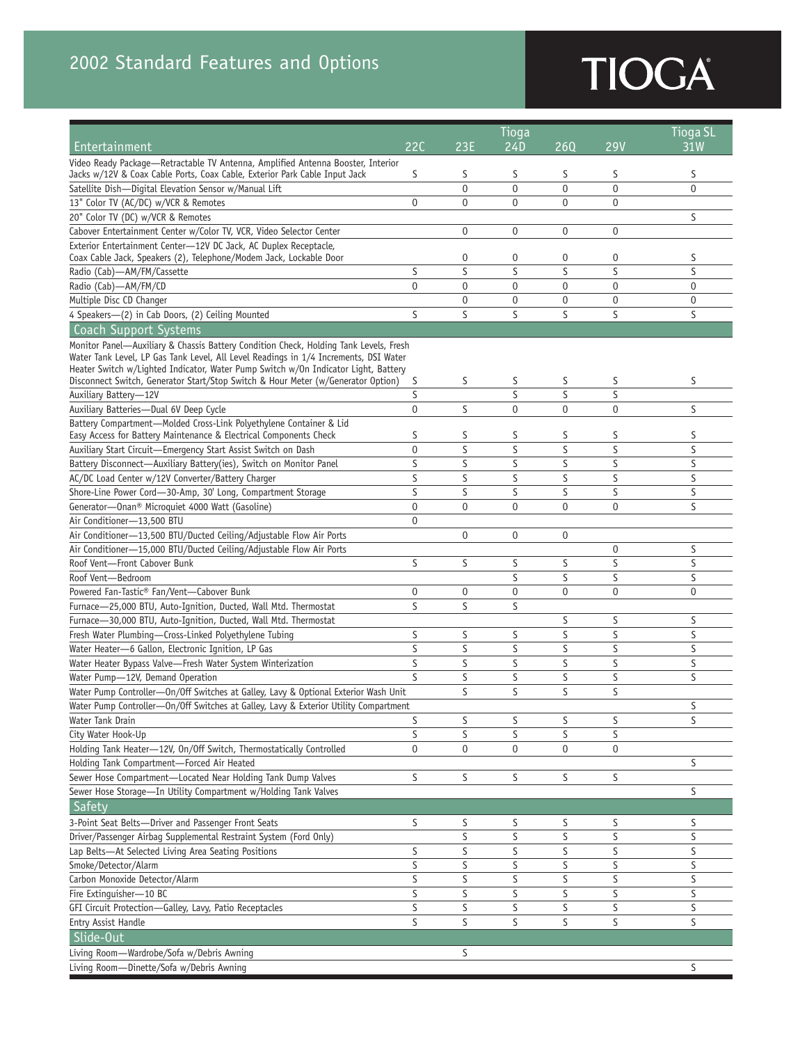# TIOGA

|                                                                                                                                                                                                                                                                                                                                                                                       |                | Tioga          |                |                |                  | <b>Tioga SL</b> |
|---------------------------------------------------------------------------------------------------------------------------------------------------------------------------------------------------------------------------------------------------------------------------------------------------------------------------------------------------------------------------------------|----------------|----------------|----------------|----------------|------------------|-----------------|
| Entertainment                                                                                                                                                                                                                                                                                                                                                                         | 22C            | 23E            | 24D            | 260            | <b>29V</b>       | 31W             |
| Video Ready Package-Retractable TV Antenna, Amplified Antenna Booster, Interior<br>Jacks w/12V & Coax Cable Ports, Coax Cable, Exterior Park Cable Input Jack                                                                                                                                                                                                                         | S              | S              | S              | S              | S                | S               |
| Satellite Dish-Digital Elevation Sensor w/Manual Lift                                                                                                                                                                                                                                                                                                                                 |                | $\overline{0}$ | $\overline{0}$ | 0              | $\overline{0}$   | $\overline{0}$  |
|                                                                                                                                                                                                                                                                                                                                                                                       | $\overline{0}$ |                |                |                |                  |                 |
| 13" Color TV (AC/DC) w/VCR & Remotes                                                                                                                                                                                                                                                                                                                                                  |                | 0              | 0              | 0              | $\mathbf 0$      |                 |
| 20" Color TV (DC) w/VCR & Remotes                                                                                                                                                                                                                                                                                                                                                     |                |                |                |                |                  | S               |
| Cabover Entertainment Center w/Color TV, VCR, Video Selector Center                                                                                                                                                                                                                                                                                                                   |                | 0              | $\mathbf 0$    | 0              | $\mathbf 0$      |                 |
| Exterior Entertainment Center-12V DC Jack, AC Duplex Receptacle,<br>Coax Cable Jack, Speakers (2), Telephone/Modem Jack, Lockable Door                                                                                                                                                                                                                                                |                | 0              | 0              | 0              | 0                | S               |
| Radio (Cab)-AM/FM/Cassette                                                                                                                                                                                                                                                                                                                                                            | S              | S              | S              | S              | S                | S               |
| Radio (Cab)-AM/FM/CD                                                                                                                                                                                                                                                                                                                                                                  | $\mathbf 0$    | $\mathbf 0$    | $\mathbf{0}$   | 0              | $\overline{0}$   | $\mathbf 0$     |
| Multiple Disc CD Changer                                                                                                                                                                                                                                                                                                                                                              |                | $\mathbf 0$    | $\mathbf 0$    | 0              | $\overline{0}$   | $\mathbf 0$     |
| 4 Speakers-(2) in Cab Doors, (2) Ceiling Mounted                                                                                                                                                                                                                                                                                                                                      | S              | S              | S              | S              | S                | S               |
| <b>Coach Support Systems</b>                                                                                                                                                                                                                                                                                                                                                          |                |                |                |                |                  |                 |
| Monitor Panel-Auxiliary & Chassis Battery Condition Check, Holding Tank Levels, Fresh<br>Water Tank Level, LP Gas Tank Level, All Level Readings in 1/4 Increments, DSI Water<br>Heater Switch w/Lighted Indicator, Water Pump Switch w/0n Indicator Light, Battery<br>S<br>S<br>S<br>S<br>S<br>Disconnect Switch, Generator Start/Stop Switch & Hour Meter (w/Generator Option)<br>S |                |                |                |                |                  |                 |
| Auxiliary Battery-12V                                                                                                                                                                                                                                                                                                                                                                 | S              |                | S              | S              | S                |                 |
| Auxiliary Batteries-Dual 6V Deep Cycle                                                                                                                                                                                                                                                                                                                                                | $\mathbf 0$    | S              | $\pmb{0}$      | $\overline{0}$ | $\mathbf 0$      | S               |
| Battery Compartment-Molded Cross-Link Polyethylene Container & Lid                                                                                                                                                                                                                                                                                                                    |                |                |                |                |                  |                 |
| Easy Access for Battery Maintenance & Electrical Components Check                                                                                                                                                                                                                                                                                                                     | S              | S              | S              | S              | S                | S               |
| Auxiliary Start Circuit-Emergency Start Assist Switch on Dash                                                                                                                                                                                                                                                                                                                         | $\mathbf 0$    | S              | S              | S              | S                | S               |
| Battery Disconnect-Auxiliary Battery(ies), Switch on Monitor Panel                                                                                                                                                                                                                                                                                                                    | S              | S              | S              | S              | S                | S               |
| AC/DC Load Center w/12V Converter/Battery Charger                                                                                                                                                                                                                                                                                                                                     | S              | S              | S              | S              | S                | S               |
| Shore-Line Power Cord-30-Amp, 30' Long, Compartment Storage                                                                                                                                                                                                                                                                                                                           | S              | S              | S              | S              | S                | S               |
| Generator-Onan <sup>®</sup> Microquiet 4000 Watt (Gasoline)                                                                                                                                                                                                                                                                                                                           | $\overline{0}$ | $\mathbf 0$    | $\mathbf{0}$   | 0              | $\overline{0}$   | S               |
| Air Conditioner-13,500 BTU                                                                                                                                                                                                                                                                                                                                                            | $\mathbf 0$    |                |                |                |                  |                 |
| Air Conditioner-13,500 BTU/Ducted Ceiling/Adjustable Flow Air Ports                                                                                                                                                                                                                                                                                                                   |                | 0              | 0              | 0              |                  |                 |
| Air Conditioner-15,000 BTU/Ducted Ceiling/Adjustable Flow Air Ports                                                                                                                                                                                                                                                                                                                   |                |                |                |                | $\boldsymbol{0}$ | S               |
| Roof Vent-Front Cabover Bunk                                                                                                                                                                                                                                                                                                                                                          | S              | S              | S              | S              | S                | S               |
| Roof Vent-Bedroom                                                                                                                                                                                                                                                                                                                                                                     |                |                | S              | S              | S                | S               |
| Powered Fan-Tastic® Fan/Vent-Cabover Bunk                                                                                                                                                                                                                                                                                                                                             | 0              | 0              | $\mathbf{0}$   | 0              | $\overline{0}$   | $\overline{0}$  |
| Furnace-25,000 BTU, Auto-Ignition, Ducted, Wall Mtd. Thermostat                                                                                                                                                                                                                                                                                                                       | S              | S              | S              |                |                  |                 |
| Furnace-30,000 BTU, Auto-Ignition, Ducted, Wall Mtd. Thermostat                                                                                                                                                                                                                                                                                                                       |                |                |                | S              | S                | S               |
| Fresh Water Plumbing-Cross-Linked Polyethylene Tubing                                                                                                                                                                                                                                                                                                                                 | S              | S              | S              | S              | S                | S               |
| Water Heater-6 Gallon, Electronic Ignition, LP Gas                                                                                                                                                                                                                                                                                                                                    | S              | S              | S              | S              | S                | S               |
| Water Heater Bypass Valve-Fresh Water System Winterization                                                                                                                                                                                                                                                                                                                            | S              | S              | S              | S              | S                | S               |
| Water Pump-12V, Demand Operation                                                                                                                                                                                                                                                                                                                                                      | S              | S              | S              | S              | S                | S               |
| Water Pump Controller-On/Off Switches at Galley, Lavy & Optional Exterior Wash Unit                                                                                                                                                                                                                                                                                                   |                | S              | S              | S              | S                |                 |
| Water Pump Controller-On/Off Switches at Galley, Lavy & Exterior Utility Compartment                                                                                                                                                                                                                                                                                                  |                |                |                |                |                  | S               |
| Water Tank Drain                                                                                                                                                                                                                                                                                                                                                                      | S              | S              | S              | S              | S                | S               |
| City Water Hook-Up                                                                                                                                                                                                                                                                                                                                                                    | S              | S              | S              | S              | S                |                 |
| Holding Tank Heater-12V, On/Off Switch, Thermostatically Controlled                                                                                                                                                                                                                                                                                                                   | $\mathbf 0$    | 0              | 0              | 0              | 0                |                 |
| Holding Tank Compartment-Forced Air Heated                                                                                                                                                                                                                                                                                                                                            |                |                |                |                |                  | S               |
| Sewer Hose Compartment-Located Near Holding Tank Dump Valves                                                                                                                                                                                                                                                                                                                          | S              | S              | S              | S              | S                |                 |
| Sewer Hose Storage-In Utility Compartment w/Holding Tank Valves                                                                                                                                                                                                                                                                                                                       |                |                |                |                |                  | S               |
| Safety                                                                                                                                                                                                                                                                                                                                                                                |                |                |                |                |                  |                 |
| 3-Point Seat Belts-Driver and Passenger Front Seats                                                                                                                                                                                                                                                                                                                                   | S              | S              | S              | S              | S                | S               |
| Driver/Passenger Airbag Supplemental Restraint System (Ford Only)                                                                                                                                                                                                                                                                                                                     |                | S              | S              | S              | S                | S               |
| Lap Belts-At Selected Living Area Seating Positions                                                                                                                                                                                                                                                                                                                                   | S              | S              | S              | S              | S                | S               |
| Smoke/Detector/Alarm                                                                                                                                                                                                                                                                                                                                                                  | S              | S              | S              | S              | S                | S               |
| Carbon Monoxide Detector/Alarm                                                                                                                                                                                                                                                                                                                                                        | $\sf S$        | S              | $\sf S$        | S              | S                | S               |
| Fire Extinguisher-10 BC                                                                                                                                                                                                                                                                                                                                                               | S              | S              | S              | S              | S                | S               |
| GFI Circuit Protection-Galley, Lavy, Patio Receptacles                                                                                                                                                                                                                                                                                                                                | S              | S              | S              | S              | S                | S               |
| Entry Assist Handle                                                                                                                                                                                                                                                                                                                                                                   | S              | S              | S              | S              | S                | S               |
| Slide-Out                                                                                                                                                                                                                                                                                                                                                                             |                |                |                |                |                  |                 |
| Living Room-Wardrobe/Sofa w/Debris Awning                                                                                                                                                                                                                                                                                                                                             |                | S              |                |                |                  |                 |
| Living Room-Dinette/Sofa w/Debris Awning                                                                                                                                                                                                                                                                                                                                              |                |                |                |                |                  | S               |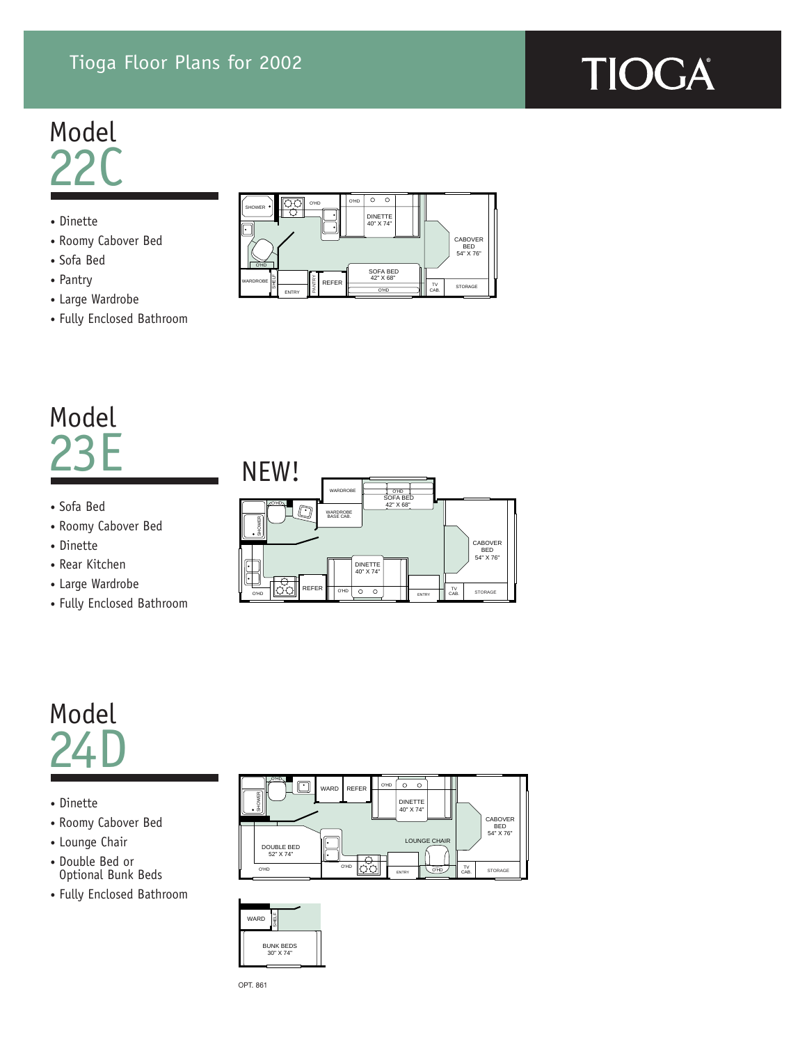## Tioga Floor Plans for 2002

# TIOGA

## Model  $22<sup>c</sup>$

- Dinette
- Roomy Cabover Bed
- Sofa Bed
- Pantry
- Large Wardrobe
- Fully Enclosed Bathroom



## Model 23E

- Sofa Bed
- Roomy Cabover Bed
- Dinette
- Rear Kitchen
- Large Wardrobe
- Fully Enclosed Bathroom



## Model  $24\,$

- Dinette
- Roomy Cabover Bed
- Lounge Chair
- Double Bed or Optional Bunk Beds
- Fully Enclosed Bathroom





OPT. 861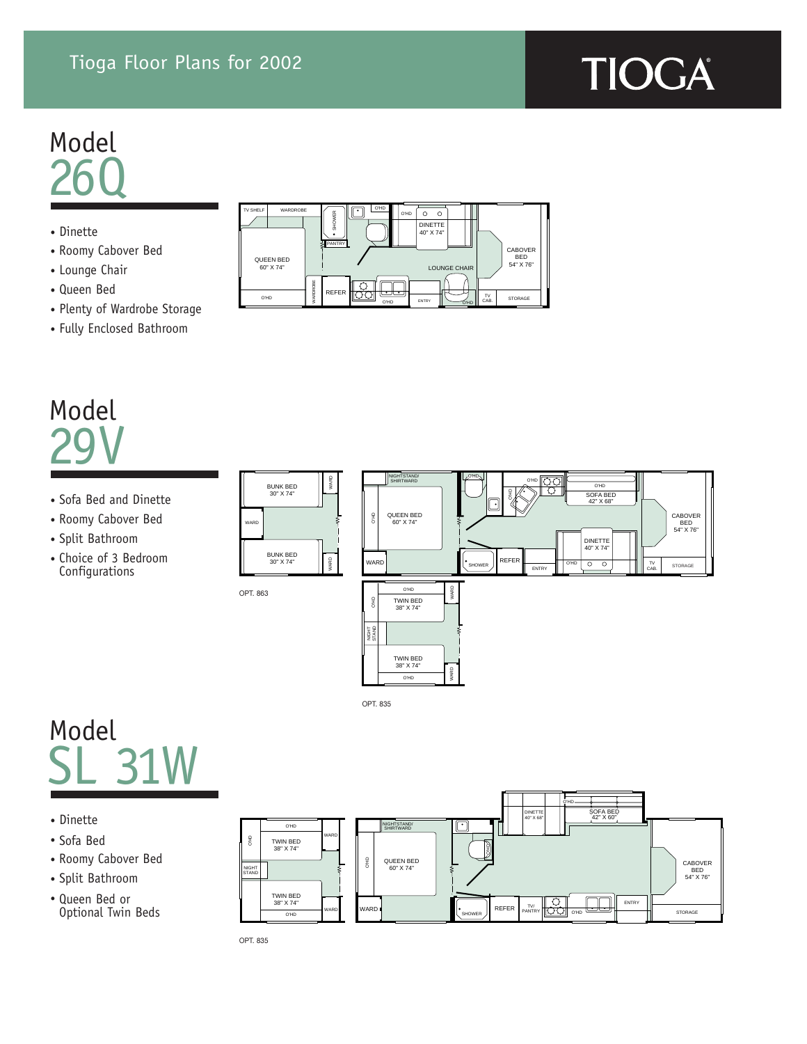### Tioga Floor Plans for 2002

TV SHELF WARDROBE

QUEEN BED 60" X 74"

O'HD

SHOWER PANTRY

REFER

ဆ

WARDROBE

## Model 26Q

- Dinette
- Roomy Cabover Bed
- Lounge Chair
- Queen Bed
- Plenty of Wardrobe Storage
- Fully Enclosed Bathroom

## Model 29V

- Sofa Bed and Dinette
- Roomy Cabover Bed
- Split Bathroom
- Choice of 3 Bedroom Configurations



LOUNGE CHAIR

CABOVER BED 54" X 76"

STORAGE

TV

ENTRY

O'HD O'HD

DINETTE 40" X 74"

 $\circ$   $\circ$ 

O'HD

O'HD

## Model SL 31W

- Dinette
- Sofa Bed
- Roomy Cabover Bed
- Split Bathroom
- Queen Bed or Optional Twin Beds



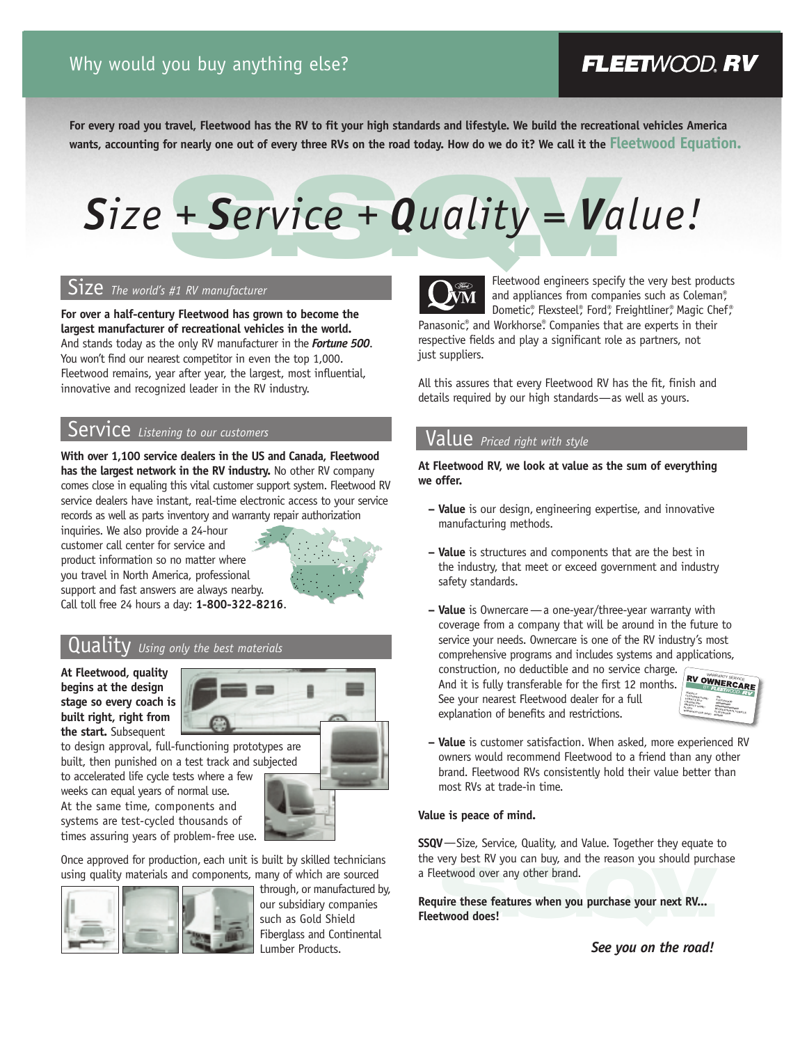## FLEETWOOD, RV

**For every road you travel, Fleetwood has the RV to fit your high standards and lifestyle. We build the recreational vehicles America wants, accounting for nearly one out of every three RVs on the road today. How do we do it? We call it the Fleetwood Equation.**

# + Service + Quality = Va *Size + Service + Quality = Value!*

### Size *The world's #1 RV manufacturer*

**For over a half-century Fleetwood has grown to become the largest manufacturer of recreational vehicles in the world.** And stands today as the only RV manufacturer in the *Fortune 500*. You won't find our nearest competitor in even the top 1,000. Fleetwood remains, year after year, the largest, most influential, innovative and recognized leader in the RV industry.

### Service *Listening to our customers*

**With over 1,100 service dealers in the US and Canada, Fleetwood has the largest network in the RV industry.** No other RV company comes close in equaling this vital customer support system. Fleetwood RV service dealers have instant, real-time electronic access to your service records as well as parts inventory and warranty repair authorization

inquiries. We also provide a 24-hour customer call center for service and product information so no matter where you travel in North America, professional support and fast answers are always nearby. Call toll free 24 hours a day: **1-800-322-8216**.



### Quality *Using only the best materials*

**At Fleetwood, quality begins at the design stage so every coach is built right, right from the start.** Subsequent



to accelerated life cycle tests where a few

weeks can equal years of normal use. At the same time, components and systems are test-cycled thousands of times assuring years of problem-free use.

Once approved for production, each unit is built by skilled technicians using quality materials and components, many of which are sourced



through, or manufactured by, our subsidiary companies such as Gold Shield Fiberglass and Continental Lumber Products.



Fleetwood engineers specify the very best products and appliances from companies such as Coleman®, Dometic®, Flexsteel®, Ford®, Freightliner®, Magic Chef®

Panasonic®, and Workhorse®. Companies that are experts in their respective fields and play a significant role as partners, not just suppliers.

All this assures that every Fleetwood RV has the fit, finish and details required by our high standards—as well as yours.

### Value *Priced right with style*

**At Fleetwood RV, we look at value as the sum of everything we offer.** 

- **Value** is our design, engineering expertise, and innovative manufacturing methods.
- **Value** is structures and components that are the best in the industry, that meet or exceed government and industry safety standards.
- **Value** is Ownercare—a one-year/three-year warranty with coverage from a company that will be around in the future to service your needs. Ownercare is one of the RV industry's most comprehensive programs and includes systems and applications,

construction, no deductible and no service charge. And it is fully transferable for the first 12 months. See your nearest Fleetwood dealer for a full explanation of benefits and restrictions.



**– Value** is customer satisfaction. When asked, more experienced RV owners would recommend Fleetwood to a friend than any other brand. Fleetwood RVs consistently hold their value better than most RVs at trade-in time.

### **Value is peace of mind.**

**SSQV**—Size, Service, Quality, and Value. Together they equate to the very best RV you can buy, and the reason you should purchase a Fleetwood over any other brand.

etwood over any other brand.<br> **S.S. A.S.** when you purchase your next RV...<br> **S.S. Example 3.5 and 2.5 and 2.5 and 3.5 and 4.6 and 4.6 and 4.6 and 4.6 and 4.6 and 4.6 and 4.6 and 4.6 and 4.6 and 4.6 and 4.6 and 4.6 and 4.6 Require these features when you purchase your next RV... Fleetwood does!**

*See you on the road!*